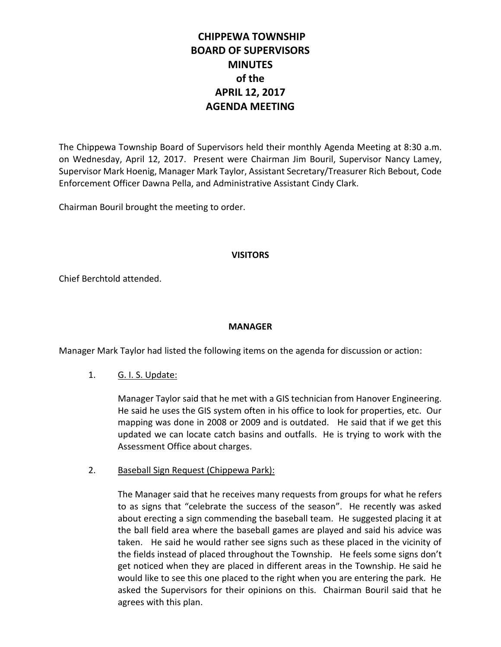# **CHIPPEWA TOWNSHIP BOARD OF SUPERVISORS MINUTES of the APRIL 12, 2017 AGENDA MEETING**

The Chippewa Township Board of Supervisors held their monthly Agenda Meeting at 8:30 a.m. on Wednesday, April 12, 2017. Present were Chairman Jim Bouril, Supervisor Nancy Lamey, Supervisor Mark Hoenig, Manager Mark Taylor, Assistant Secretary/Treasurer Rich Bebout, Code Enforcement Officer Dawna Pella, and Administrative Assistant Cindy Clark.

Chairman Bouril brought the meeting to order.

#### **VISITORS**

Chief Berchtold attended.

### **MANAGER**

Manager Mark Taylor had listed the following items on the agenda for discussion or action:

# 1. G. I. S. Update:

Manager Taylor said that he met with a GIS technician from Hanover Engineering. He said he uses the GIS system often in his office to look for properties, etc. Our mapping was done in 2008 or 2009 and is outdated. He said that if we get this updated we can locate catch basins and outfalls. He is trying to work with the Assessment Office about charges.

#### 2. Baseball Sign Request (Chippewa Park):

The Manager said that he receives many requests from groups for what he refers to as signs that "celebrate the success of the season". He recently was asked about erecting a sign commending the baseball team. He suggested placing it at the ball field area where the baseball games are played and said his advice was taken. He said he would rather see signs such as these placed in the vicinity of the fields instead of placed throughout the Township. He feels some signs don't get noticed when they are placed in different areas in the Township. He said he would like to see this one placed to the right when you are entering the park. He asked the Supervisors for their opinions on this. Chairman Bouril said that he agrees with this plan.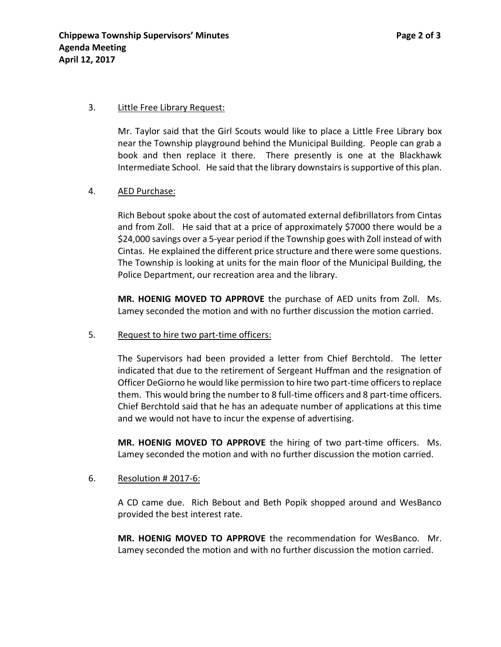#### 3. Little Free Library Request:

Mr. Taylor said that the Girl Scouts would like to place a Little Free Library box near the Township playground behind the Municipal Building. People can grab a book and then replace it there. There presently is one at the Blackhawk Intermediate School. He said that the library downstairs is supportive of this plan.

#### 4. AED Purchase:

Rich Bebout spoke about the cost of automated external defibrillators from Cintas and from Zoll. He said that at a price of approximately \$7000 there would be a \$24,000 savings over a 5-year period if the Township goes with Zoll instead of with Cintas. He explained the different price structure and there were some questions. The Township is looking at units for the main floor of the Municipal Building, the Police Department, our recreation area and the library.

**MR. HOENIG MOVED TO APPROVE** the purchase of AED units from Zoll. Ms. Lamey seconded the motion and with no further discussion the motion carried.

5. Request to hire two part-time officers:

The Supervisors had been provided a letter from Chief Berchtold. The letter indicated that due to the retirement of Sergeant Huffman and the resignation of Officer DeGiorno he would like permission to hire two part-time officers to replace them. This would bring the number to 8 full-time officers and 8 part-time officers. Chief Berchtold said that he has an adequate number of applications at this time and we would not have to incur the expense of advertising.

**MR. HOENIG MOVED TO APPROVE** the hiring of two part-time officers. Ms. Lamey seconded the motion and with no further discussion the motion carried.

#### 6. Resolution # 2017-6:

A CD came due. Rich Bebout and Beth Popik shopped around and WesBanco provided the best interest rate.

**MR. HOENIG MOVED TO APPROVE** the recommendation for WesBanco. Mr. Lamey seconded the motion and with no further discussion the motion carried.